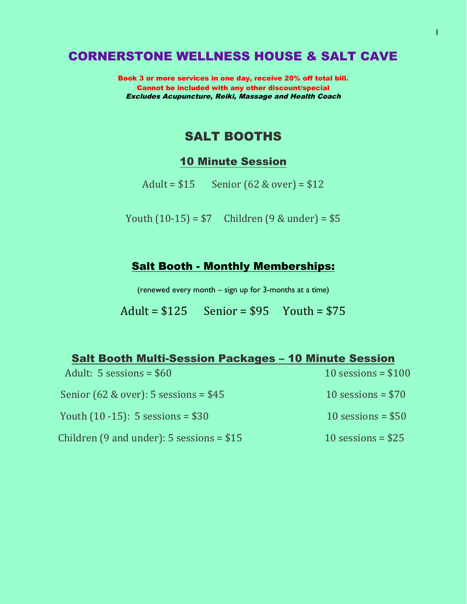### CORNERSTONE WELLNESS HOUSE & SALT CAVE

Book 3 or more services in one day, receive 20% off total bill. Cannot be included with any other discount/special Excludes Acupuncture, Reiki, Massage and Health Coach

### SALT BOOTHS

#### 10 Minute Session

Adult =  $$15$  Senior (62 & over) =  $$12$ 

Youth  $(10-15) = $7$  Children  $(9 & \text{under}) = $5$ 

### Salt Booth - Monthly Memberships:

(renewed every month – sign up for 3-months at a time)

$$
A \text{dult} = $125 \qquad \text{Senior} = $95 \qquad \text{Youth} = $75
$$

| <b>Salt Booth Multi-Session Packages - 10 Minute Session</b> |                      |
|--------------------------------------------------------------|----------------------|
| Adult: $5$ sessions = $$60$                                  | 10 sessions = $$100$ |
| Senior $(62 \& over)$ : 5 sessions = \$45                    | 10 sessions = $$70$  |
| Youth $(10 - 15)$ : 5 sessions = \$30                        | 10 sessions = $$50$  |
| Children $(9 \text{ and under})$ : 5 sessions = \$15         | 10 sessions = $$25$  |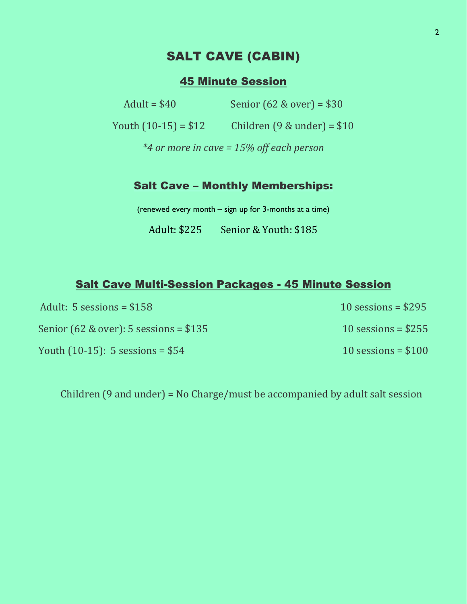# SALT CAVE (CABIN)

### 45 Minute Session

Adult = \$40 Senior (62 & over) = \$30

Youth  $(10-15) = $12$  Children  $(9 &$  under) = \$10

*\*4 or more in cave = 15% off each person*

#### Salt Cave – Monthly Memberships:

(renewed every month – sign up for 3-months at a time)

Adult: \$225 Senior & Youth: \$185

#### Salt Cave Multi-Session Packages - 45 Minute Session

| Adult: $5$ sessions = $$158$               | $10$ sessions = \$295 |
|--------------------------------------------|-----------------------|
| Senior $(62 \& over)$ : 5 sessions = \$135 | 10 sessions = $$255$  |
| Youth $(10-15)$ : 5 sessions = \$54        | 10 sessions = $$100$  |

Children (9 and under) = No Charge/must be accompanied by adult salt session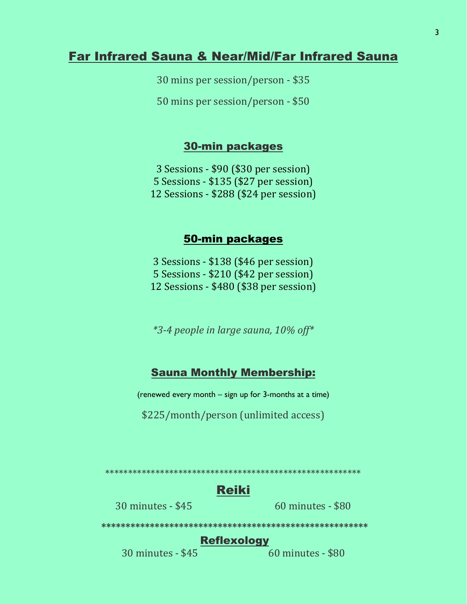### Far Infrared Sauna & Near/Mid/Far Infrared Sauna

30 mins per session/person - \$35

50 mins per session/person - \$50

#### 30-min packages

3 Sessions - \$90 (\$30 per session) 5 Sessions - \$135 (\$27 per session) 12 Sessions - \$288 (\$24 per session)

#### 50-min packages

3 Sessions - \$138 (\$46 per session) 5 Sessions - \$210 (\$42 per session) 12 Sessions - \$480 (\$38 per session)

*\*3-4 people in large sauna, 10% off\**

#### Sauna Monthly Membership:

(renewed every month – sign up for 3-months at a time)

\$225/month/person (unlimited access)

\*\*\*\*\*\*\*\*\*\*\*\*\*\*\*\*\*\*\*\*\*\*\*\*\*\*\*\*\*\*\*\*\*\*\*\*\*\*\*\*\*\*\*\*\*\*\*\*\*\*\*\*\*\*\*\*

# Reiki

30 minutes - \$45 60 minutes - \$80

### Reflexology

**\*\*\*\*\*\*\*\*\*\*\*\*\*\*\*\*\*\*\*\*\*\*\*\*\*\*\*\*\*\*\*\*\*\*\*\*\*\*\*\*\*\*\*\*\*\*\*\*\*\*\*\*\*\*\***

30 minutes - \$45 60 minutes - \$80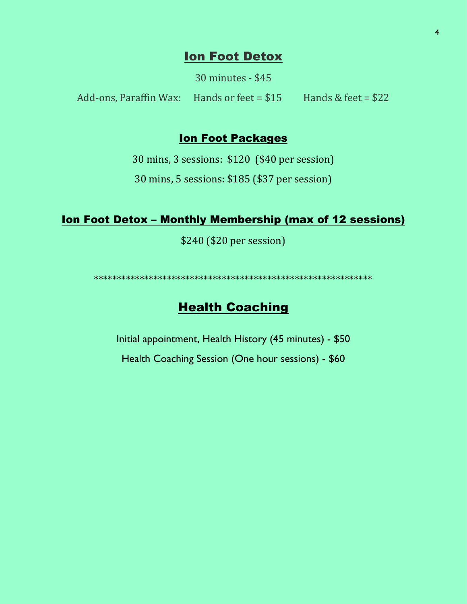### **Ion Foot Detox**

30 minutes - \$45

Add-ons, Paraffin Wax: Hands or feet =  $$15$  Hands & feet =  $$22$ 

#### **Ion Foot Packages**

30 mins, 3 sessions: \$120 (\$40 per session)

30 mins, 5 sessions: \$185 (\$37 per session)

#### <u>**Ion Foot Detox - Monthly Membership (max of 12 sessions)**</u>

\$240 (\$20 per session)

# **Health Coaching**

Initial appointment, Health History (45 minutes) - \$50

Health Coaching Session (One hour sessions) - \$60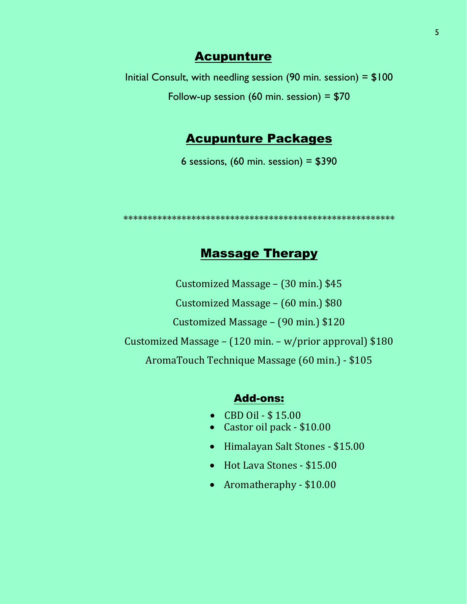### **Acupunture**

Initial Consult, with needling session (90 min. session) =  $$100$ Follow-up session (60 min. session) =  $$70$ 

### Acupunture Packages

6 sessions,  $(60 \text{ min. session}) = $390$ 

**\*\*\*\*\*\*\*\*\*\*\*\*\*\*\*\*\*\*\*\*\*\*\*\*\*\*\*\*\*\*\*\*\*\*\*\*\*\*\*\*\*\*\*\*\*\*\*\*\*\*\*\*\*\*\*\***

# Massage Therapy

Customized Massage – (30 min.) \$45 Customized Massage – (60 min.) \$80 Customized Massage – (90 min.) \$120 Customized Massage – (120 min. – w/prior approval) \$180 AromaTouch Technique Massage (60 min.) - \$105

#### Add-ons:

- CBD Oil \$ 15.00
- Castor oil pack \$10.00
- Himalayan Salt Stones \$15.00
- Hot Lava Stones \$15.00
- Aromatheraphy \$10.00